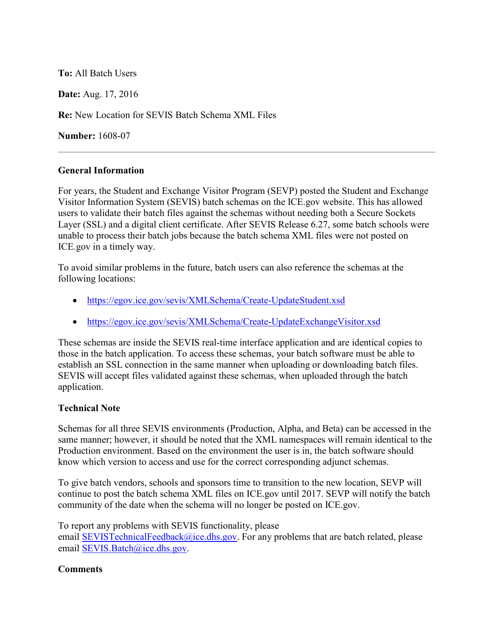**To:** All Batch Users

**Date:** Aug. 17, 2016

**Re:** New Location for SEVIS Batch Schema XML Files

**Number:** 1608-07

## **General Information**

For years, the Student and Exchange Visitor Program (SEVP) posted the Student and Exchange Visitor Information System (SEVIS) batch schemas on the ICE.gov website. This has allowed users to validate their batch files against the schemas without needing both a Secure Sockets Layer (SSL) and a digital client certificate. After SEVIS Release 6.27, some batch schools were unable to process their batch jobs because the batch schema XML files were not posted on ICE.gov in a timely way.

To avoid similar problems in the future, batch users can also reference the schemas at the following locations:

- <https://egov.ice.gov/sevis/XMLSchema/Create-UpdateStudent.xsd>
- <https://egov.ice.gov/sevis/XMLSchema/Create-UpdateExchangeVisitor.xsd>

These schemas are inside the SEVIS real-time interface application and are identical copies to those in the batch application. To access these schemas, your batch software must be able to establish an SSL connection in the same manner when uploading or downloading batch files. SEVIS will accept files validated against these schemas, when uploaded through the batch application.

## **Technical Note**

Schemas for all three SEVIS environments (Production, Alpha, and Beta) can be accessed in the same manner; however, it should be noted that the XML namespaces will remain identical to the Production environment. Based on the environment the user is in, the batch software should know which version to access and use for the correct corresponding adjunct schemas.

To give batch vendors, schools and sponsors time to transition to the new location, SEVP will continue to post the batch schema XML files on ICE.gov until 2017. SEVP will notify the batch community of the date when the schema will no longer be posted on ICE.gov.

To report any problems with SEVIS functionality, please email [SEVISTechnicalFeedback@ice.dhs.gov.](mailto:SEVISTechnicalFeedback@ice.dhs.gov) For any problems that are batch related, please email [SEVIS.Batch@ice.dhs.gov.](mailto:SEVIS.Batch@ice.dhs.gov)

## **Comments**